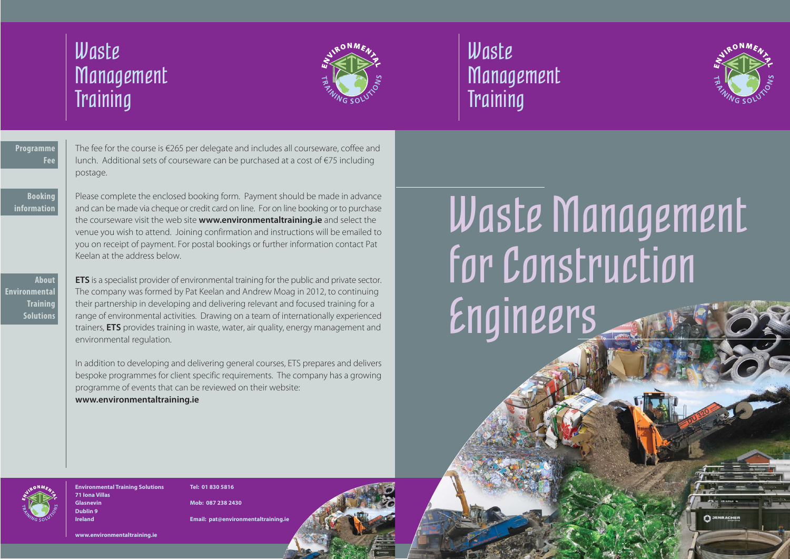



# Waste Management for Construction Engineers

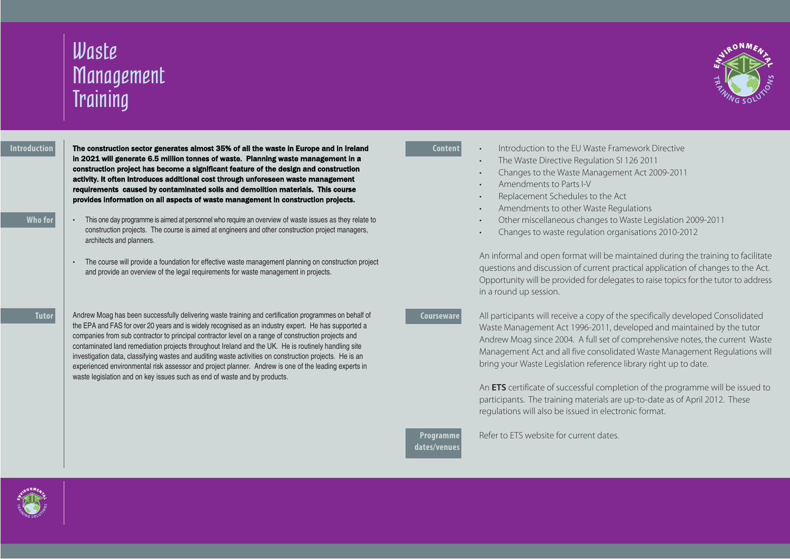# Waste **Management Training**

#### **Introduction**

The construction sector generates almost 35% of all the waste in Europe and in Ireland in 2021 will generate 6.5 million tonnes of waste. Planning waste management in a construction project has become a significant feature of the design and construction activity. It often introduces additional cost through unforeseen waste management requirements caused by contaminated soils and demolition materials. This course provides information on all aspects of waste management in construction projects.

### **Who for**

- This one day programme is aimed at personnel who require an overview of waste issues as they relate to construction projects. The course is aimed at engineers and other construction project managers, architects and planners.
- The course will provide a foundation for effective waste management planning on construction project and provide an overview of the legal requirements for waste management in projects.

#### **Tutor**

Andrew Moag has been successfully delivering waste training and certification programmes on behalf of the EPA and FAS for over 20 years and is widely recognised as an industry expert. He has supported a companies from sub contractor to principal contractor level on a range of construction projects and contaminated land remediation projects throughout Ireland and the UK. He is routinely handling site investigation data, classifying wastes and auditing waste activities on construction projects. He is an experienced environmental risk assessor and project planner. Andrew is one of the leading experts in waste legislation and on key issues such as end of waste and by products.

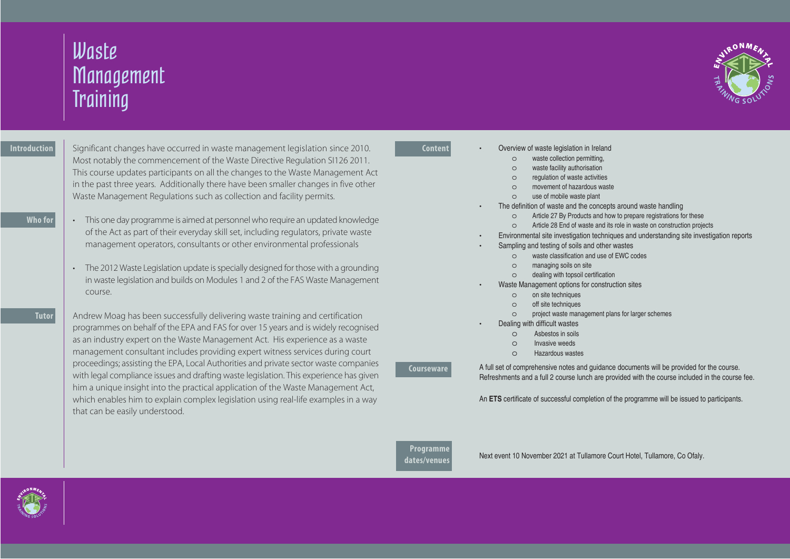

## **Content**

- Overview of waste legislation in Ireland
	- o waste collection permitting,
	- o waste facility authorisation
	- o regulation of waste activities
	- o movement of hazardous waste
	- o use of mobile waste plant
- The definition of waste and the concepts around waste handling
	- o Article 27 By Products and how to prepare registrations for these
	- o Article 28 End of waste and its role in waste on construction projects
- Environmental site investigation techniques and understanding site investigation reports
- Sampling and testing of soils and other wastes
	- o waste classification and use of EWC codes
	- o managing soils on site
	- o dealing with topsoil certification
- Waste Management options for construction sites
	- o on site techniques
	- o off site techniques
	- o project waste management plans for larger schemes
	- Dealing with difficult wastes
		- o Asbestos in soils
		- o Invasive weeds
		- o Hazardous wastes

**Courseware**

A full set of comprehensive notes and guidance documents will be provided for the course. Refreshments and a full 2 course lunch are provided with the course included in the course fee.

An **ETS** certificate of successful completion of the programme will be issued to participants.

## **Programme dates/venues**

Next event 10 November 2021 at Tullamore Court Hotel, Tullamore, Co Ofaly.